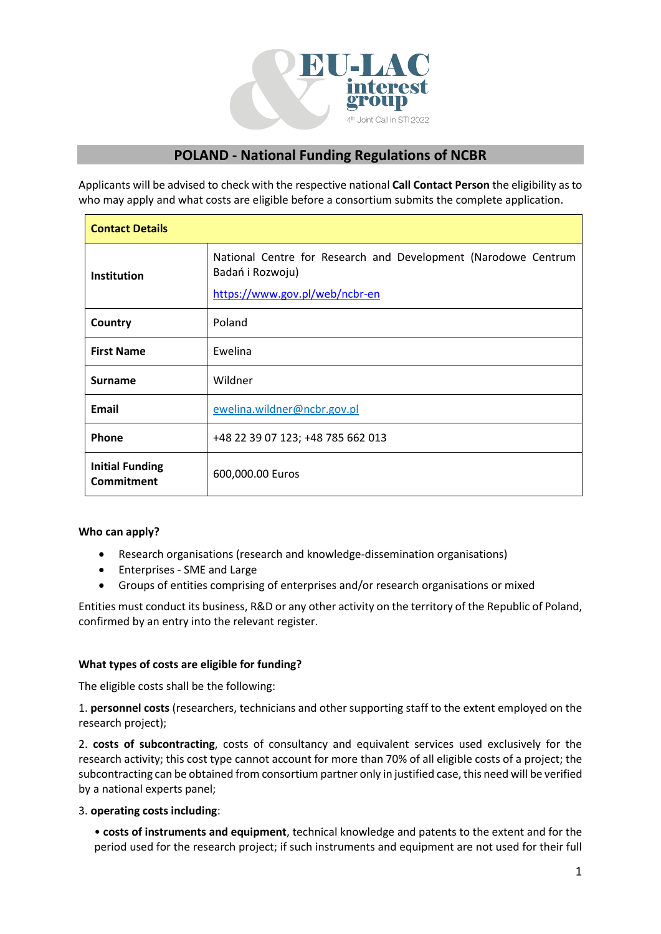

# **POLAND - National Funding Regulations of NCBR**

Applicants will be advised to check with the respective national **Call Contact Person** the eligibility as to who may apply and what costs are eligible before a consortium submits the complete application.

| <b>Contact Details</b>                      |                                                                                                                      |  |  |  |  |
|---------------------------------------------|----------------------------------------------------------------------------------------------------------------------|--|--|--|--|
| <b>Institution</b>                          | National Centre for Research and Development (Narodowe Centrum<br>Badań i Rozwoju)<br>https://www.gov.pl/web/ncbr-en |  |  |  |  |
| Country                                     | Poland                                                                                                               |  |  |  |  |
| <b>First Name</b>                           | Ewelina                                                                                                              |  |  |  |  |
| <b>Surname</b>                              | Wildner                                                                                                              |  |  |  |  |
| Email                                       | ewelina.wildner@ncbr.gov.pl                                                                                          |  |  |  |  |
| Phone                                       | +48 22 39 07 123; +48 785 662 013                                                                                    |  |  |  |  |
| <b>Initial Funding</b><br><b>Commitment</b> | 600,000.00 Euros                                                                                                     |  |  |  |  |

# **Who can apply?**

- Research organisations (research and knowledge-dissemination organisations)
- Enterprises SME and Large
- Groups of entities comprising of enterprises and/or research organisations or mixed

Entities must conduct its business, R&D or any other activity on the territory of the Republic of Poland, confirmed by an entry into the relevant register.

### **What types of costs are eligible for funding?**

The eligible costs shall be the following:

1. **personnel costs** (researchers, technicians and other supporting staff to the extent employed on the research project);

2. **costs of subcontracting**, costs of consultancy and equivalent services used exclusively for the research activity; this cost type cannot account for more than 70% of all eligible costs of a project; the subcontracting can be obtained from consortium partner only in justified case, this need will be verified by a national experts panel;

### 3. **operating costs including**:

• **costs of instruments and equipment**, technical knowledge and patents to the extent and for the period used for the research project; if such instruments and equipment are not used for their full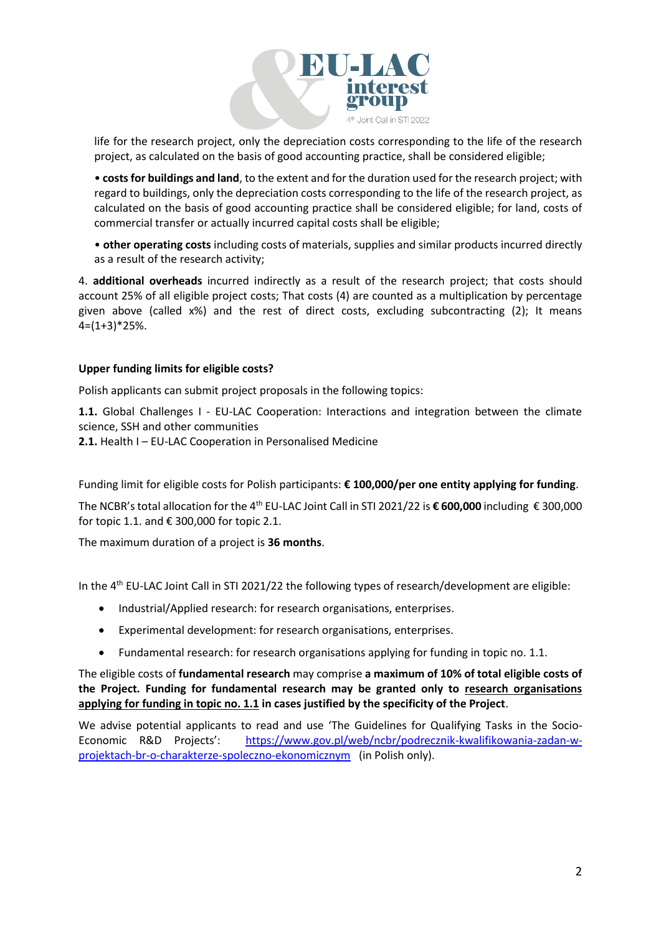

life for the research project, only the depreciation costs corresponding to the life of the research project, as calculated on the basis of good accounting practice, shall be considered eligible;

• **costs for buildings and land**, to the extent and for the duration used for the research project; with regard to buildings, only the depreciation costs corresponding to the life of the research project, as calculated on the basis of good accounting practice shall be considered eligible; for land, costs of commercial transfer or actually incurred capital costs shall be eligible;

• **other operating costs** including costs of materials, supplies and similar products incurred directly as a result of the research activity;

4. **additional overheads** incurred indirectly as a result of the research project; that costs should account 25% of all eligible project costs; That costs (4) are counted as a multiplication by percentage given above (called x%) and the rest of direct costs, excluding subcontracting (2); It means 4=(1+3)\*25%.

## **Upper funding limits for eligible costs?**

Polish applicants can submit project proposals in the following topics:

**1.1.** Global Challenges I - EU-LAC Cooperation: Interactions and integration between the climate science, SSH and other communities **2.1.** Health I – EU-LAC Cooperation in Personalised Medicine

Funding limit for eligible costs for Polish participants: **€ 100,000/per one entity applying for funding**.

The NCBR's total allocation for the 4 th EU-LAC Joint Call in STI 2021/22 is **€ 600,000** including € 300,000 for topic 1.1. and  $\epsilon$  300,000 for topic 2.1.

The maximum duration of a project is **36 months**.

In the 4<sup>th</sup> EU-LAC Joint Call in STI 2021/22 the following types of research/development are eligible:

- Industrial/Applied research: for research organisations, enterprises.
- Experimental development: for research organisations, enterprises.
- Fundamental research: for research organisations applying for funding in topic no. 1.1.

The eligible costs of **fundamental research** may comprise **a maximum of 10% of total eligible costs of the Project. Funding for fundamental research may be granted only to research organisations applying for funding in topic no. 1.1 in cases justified by the specificity of the Project**.

We advise potential applicants to read and use 'The Guidelines for Qualifying Tasks in the SocioEconomic R&D Projects': [https://www.gov.pl/web/ncbr/podrecznik-kwalifikowania-zadan-w](https://www.gov.pl/web/ncbr/podrecznik-kwalifikowania-zadan-w-projektach-br-o-charakterze-spoleczno-ekonomicznym)[projektach-br-o-charakterze-spoleczno-ekonomicznym](https://www.gov.pl/web/ncbr/podrecznik-kwalifikowania-zadan-w-projektach-br-o-charakterze-spoleczno-ekonomicznym) (in Polish only).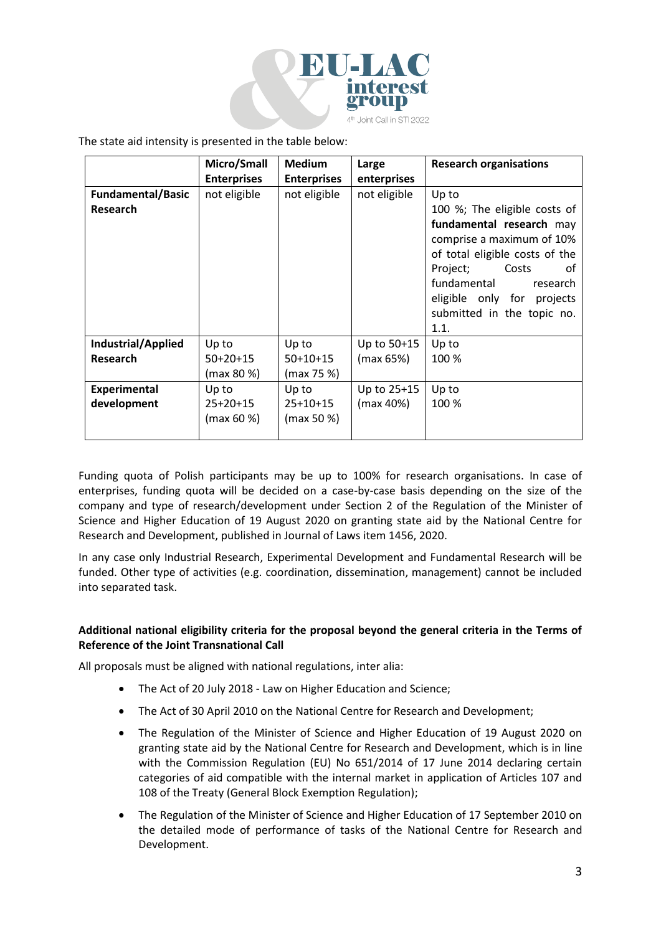

The state aid intensity is presented in the table below:

|                          | Micro/Small        | <b>Medium</b>      | Large        | <b>Research organisations</b>  |
|--------------------------|--------------------|--------------------|--------------|--------------------------------|
|                          | <b>Enterprises</b> | <b>Enterprises</b> | enterprises  |                                |
| <b>Fundamental/Basic</b> | not eligible       | not eligible       | not eligible | Up to                          |
| <b>Research</b>          |                    |                    |              | 100 %; The eligible costs of   |
|                          |                    |                    |              | fundamental research may       |
|                          |                    |                    |              | comprise a maximum of 10%      |
|                          |                    |                    |              | of total eligible costs of the |
|                          |                    |                    |              | Costs<br>Project;<br>0t        |
|                          |                    |                    |              | fundamental<br>research        |
|                          |                    |                    |              | eligible only for projects     |
|                          |                    |                    |              | submitted in the topic no.     |
|                          |                    |                    |              | 1.1.                           |
| Industrial/Applied       | Up to              | Up to              | Up to 50+15  | Up to                          |
| <b>Research</b>          | $50+20+15$         | $50+10+15$         | (max 65%)    | 100 %                          |
|                          | (max 80 %)         | (max 75 %)         |              |                                |
| <b>Experimental</b>      | Up to              | Up to              | Up to 25+15  | Up to                          |
| development              | 25+20+15           | $25+10+15$         | (max 40%)    | 100 %                          |
|                          | (max 60 %)         | (max 50 %)         |              |                                |
|                          |                    |                    |              |                                |

Funding quota of Polish participants may be up to 100% for research organisations. In case of enterprises, funding quota will be decided on a case-by-case basis depending on the size of the company and type of research/development under Section 2 of the Regulation of the Minister of Science and Higher Education of 19 August 2020 on granting state aid by the National Centre for Research and Development, published in Journal of Laws item 1456, 2020.

In any case only Industrial Research, Experimental Development and Fundamental Research will be funded. Other type of activities (e.g. coordination, dissemination, management) cannot be included into separated task.

# **Additional national eligibility criteria for the proposal beyond the general criteria in the Terms of Reference of the Joint Transnational Call**

All proposals must be aligned with national regulations, inter alia:

- The Act of 20 July 2018 Law on Higher Education and Science;
- The Act of 30 April 2010 on the National Centre for Research and Development;
- The Regulation of the Minister of Science and Higher Education of 19 August 2020 on granting state aid by the National Centre for Research and Development, which is in line with the Commission Regulation (EU) No 651/2014 of 17 June 2014 declaring certain categories of aid compatible with the internal market in application of Articles 107 and 108 of the Treaty (General Block Exemption Regulation);
- The Regulation of the Minister of Science and Higher Education of 17 September 2010 on the detailed mode of performance of tasks of the National Centre for Research and Development.